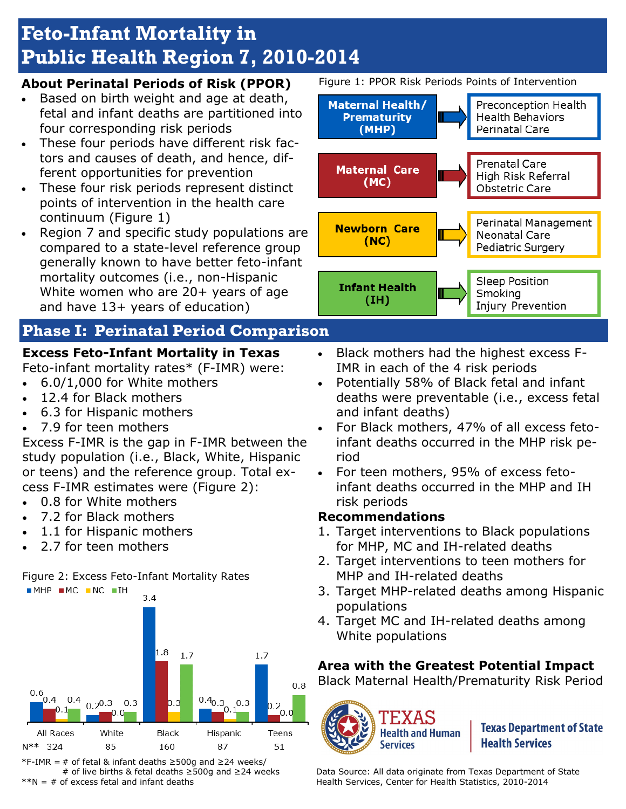# **Feto-Infant Mortality in Public Health Region 7, 2010-2014**

#### **About Perinatal Periods of Risk (PPOR)**

- Based on birth weight and age at death, fetal and infant deaths are partitioned into four corresponding risk periods
- These four periods have different risk factors and causes of death, and hence, different opportunities for prevention
- These four risk periods represent distinct points of intervention in the health care continuum (Figure 1)
- Region 7 and specific study populations are compared to a state-level reference group generally known to have better feto-infant mortality outcomes (i.e., non-Hispanic White women who are 20+ years of age and have 13+ years of education)

# **Phase I: Perinatal Period Comparison**

## **Excess Feto-Infant Mortality in Texas**

Feto-infant mortality rates\* (F-IMR) were:

- 6.0/1,000 for White mothers
- 12.4 for Black mothers
- 6.3 for Hispanic mothers
- 7.9 for teen mothers

Excess F-IMR is the gap in F-IMR between the study population (i.e., Black, White, Hispanic or teens) and the reference group. Total excess F-IMR estimates were (Figure 2):

- 0.8 for White mothers
- 7.2 for Black mothers
- 1.1 for Hispanic mothers
- 2.7 for teen mothers





\*F-IMR = # of fetal & infant deaths ≥500g and ≥24 weeks/ # of live births & fetal deaths ≥500g and ≥24 weeks  $*N = #$  of excess fetal and infant deaths

Figure 1: PPOR Risk Periods Points of Intervention



Black mothers had the highest excess F-

Injury Prevention

- IMR in each of the 4 risk periods
- Potentially 58% of Black fetal and infant deaths were preventable (i.e., excess fetal and infant deaths)
- For Black mothers, 47% of all excess fetoinfant deaths occurred in the MHP risk period
- For teen mothers, 95% of excess fetoinfant deaths occurred in the MHP and IH risk periods

#### **Recommendations**

- 1. Target interventions to Black populations for MHP, MC and IH-related deaths
- 2. Target interventions to teen mothers for MHP and IH-related deaths
- 3. Target MHP-related deaths among Hispanic populations
- 4. Target MC and IH-related deaths among White populations

## **Area with the Greatest Potential Impact**

Black Maternal Health/Prematurity Risk Period



**Texas Department of State Health Services** 

Data Source: All data originate from Texas Department of State Health Services, Center for Health Statistics, 2010-2014